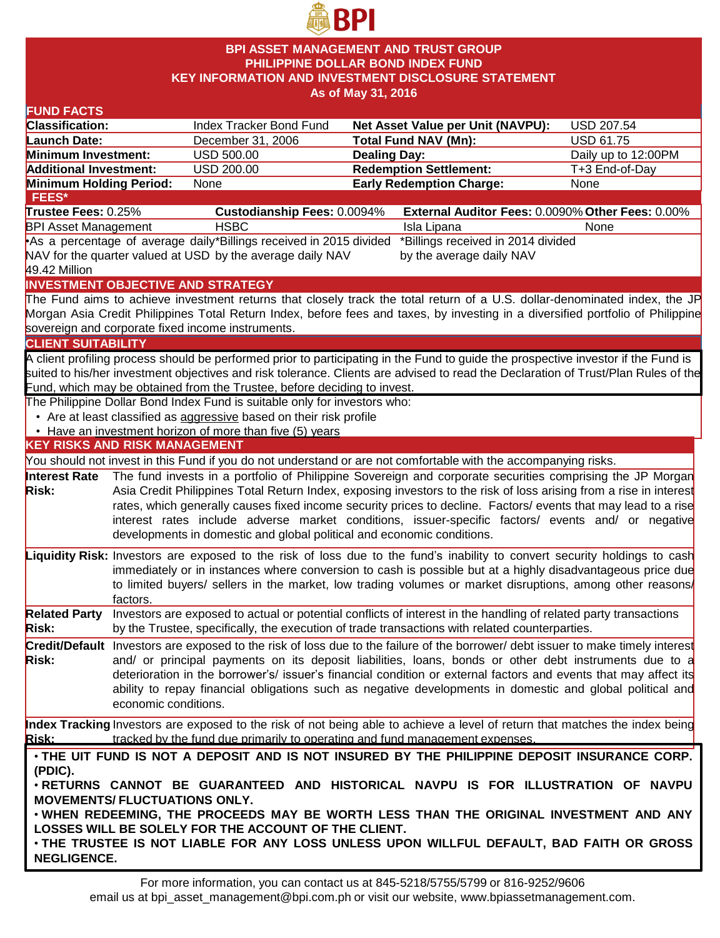

### **BPI ASSET MANAGEMENT AND TRUST GROUP PHILIPPINE DOLLAR BOND INDEX FUND KEY INFORMATION AND INVESTMENT DISCLOSURE STATEMENT As of May 31, 2016**

#### **FUND FACTS Classification:** Index Tracker Bond Fund **Net Asset Value per Unit (NAVPU):** USD 207.54 **Launch Date:** December 31, 2006 **Total Fund NAV (Mn):** USD 61.75 **Minimum Investment:** USD 500.00 **Dealing Day:** Dealing Day: Daily up to 12:00PM **Additional Investment:** USD 200.00 **Redemption Settlement:** T+3 End-of-Day **Minimum Holding Period:** None **Early Redemption Charge:** None **KEY RISKS AND RISK MANAGEMENT**  You should not invest in this Fund if you do not understand or are not comfortable with the accompanying risks. **Interest Rate Risk:** The fund invests in a portfolio of Philippine Sovereign and corporate securities comprising the JP Morgan Asia Credit Philippines Total Return Index, exposing investors to the risk of loss arising from a rise in interest rates, which generally causes fixed income security prices to decline. Factors/ events that may lead to a rise interest rates include adverse market conditions, issuer-specific factors/ events and/ or negative developments in domestic and global political and economic conditions. **Liquidity Risk:** Investors are exposed to the risk of loss due to the fund's inability to convert security holdings to cash immediately or in instances where conversion to cash is possible but at a highly disadvantageous price due to limited buyers/ sellers in the market, low trading volumes or market disruptions, among other reasons/ factors. **Related Party Risk:** Investors are exposed to actual or potential conflicts of interest in the handling of related party transactions by the Trustee, specifically, the execution of trade transactions with related counterparties. **Credit/Default**  Investors are exposed to the risk of loss due to the failure of the borrower/ debt issuer to make timely interest **Risk:** and/ or principal payments on its deposit liabilities, loans, bonds or other debt instruments due to a deterioration in the borrower's/ issuer's financial condition or external factors and events that may affect its ability to repay financial obligations such as negative developments in domestic and global political and economic conditions. **Index Tracking** Investors are exposed to the risk of not being able to achieve a level of return that matches the index being **Risk:** tracked by the fund due primarily to operating and fund management expenses. **INVESTMENT OBJECTIVE AND STRATEGY** The Fund aims to achieve investment returns that closely track the total return of a U.S. dollar-denominated index, the JP Morgan Asia Credit Philippines Total Return Index, before fees and taxes, by investing in a diversified portfolio of Philippine sovereign and corporate fixed income instruments. **CLIENT SUITABILITY** A client profiling process should be performed prior to participating in the Fund to guide the prospective investor if the Fund is suited to his/her investment objectives and risk tolerance. Clients are advised to read the Declaration of Trust/Plan Rules of the Fund, which may be obtained from the Trustee, before deciding to invest. The Philippine Dollar Bond Index Fund is suitable only for investors who: • Are at least classified as aggressive based on their risk profile • Have an investment horizon of more than five (5) years • **THE UIT FUND IS NOT A DEPOSIT AND IS NOT INSURED BY THE PHILIPPINE DEPOSIT INSURANCE CORP. (PDIC).** • **RETURNS CANNOT BE GUARANTEED AND HISTORICAL NAVPU IS FOR ILLUSTRATION OF NAVPU MOVEMENTS/ FLUCTUATIONS ONLY.** • **WHEN REDEEMING, THE PROCEEDS MAY BE WORTH LESS THAN THE ORIGINAL INVESTMENT AND ANY LOSSES WILL BE SOLELY FOR THE ACCOUNT OF THE CLIENT.** • **THE TRUSTEE IS NOT LIABLE FOR ANY LOSS UNLESS UPON WILLFUL DEFAULT, BAD FAITH OR GROSS NEGLIGENCE. FEES\* Trustee Fees:** 0.25% **Custodianship Fees:** 0.0094% **External Auditor Fees:** 0.0090% **Other Fees:** 0.00% BPI Asset Management THSBC **In the USBC** Isla Lipana None •As a percentage of average daily \*Billings received in 2015 divided NAV for the quarter valued at USD by the average daily NAV 49.42 Million \*Billings received in 2014 divided by the average daily NAV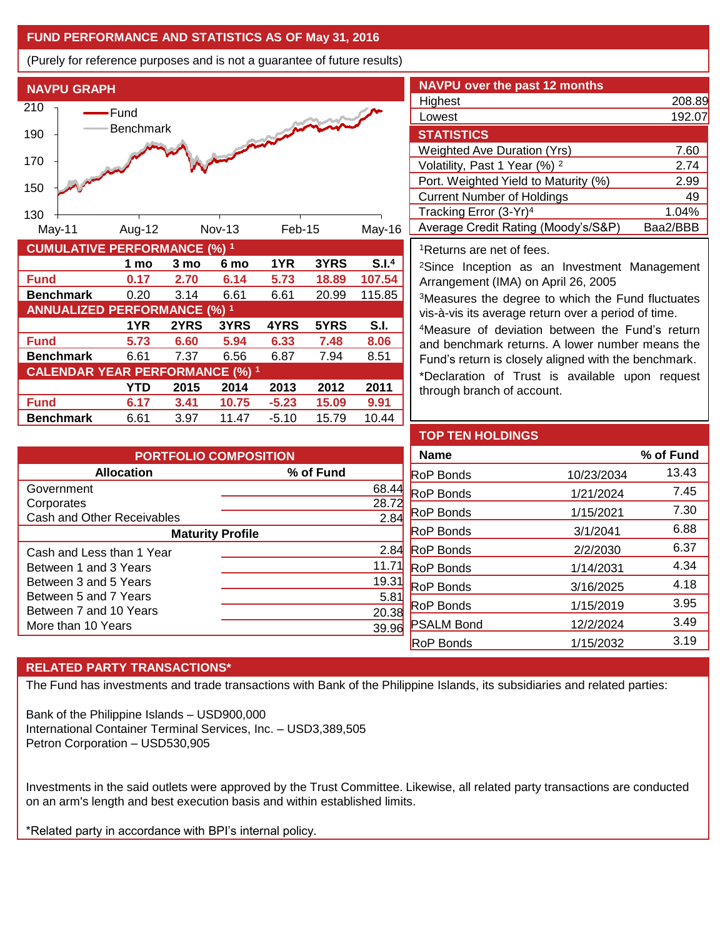## **FUND PERFORMANCE AND STATISTICS AS OF May 31, 2016**

(Purely for reference purposes and is not a guarantee of future results)



| <b>NAVPU over the past 12 months</b>     |          |
|------------------------------------------|----------|
| Highest                                  | 208.89   |
| Lowest                                   | 192.07   |
| <b>STATISTICS</b>                        |          |
| <b>Weighted Ave Duration (Yrs)</b>       | 7.60     |
| Volatility, Past 1 Year (%) <sup>2</sup> | 2.74     |
| Port. Weighted Yield to Maturity (%)     | 2.99     |
| <b>Current Number of Holdings</b>        | 49       |
| Tracking Error (3-Yr) <sup>4</sup>       | 1.04%    |
| Average Credit Rating (Moody's/S&P)      | Baa2/BBB |

<sup>1</sup>Returns are net of fees.

<sup>2</sup>Since Inception as an Investment Management Arrangement (IMA) on April 26, 2005

<sup>3</sup>Measures the degree to which the Fund fluctuates vis-à-vis its average return over a period of time.

<sup>4</sup>Measure of deviation between the Fund's return and benchmark returns. A lower number means the Fund's return is closely aligned with the benchmark.

\*Declaration of Trust is available upon request through branch of account.

| <b>PORTFOLIO COMPOSITION</b> |           |  |  |
|------------------------------|-----------|--|--|
| <b>Allocation</b>            | % of Fund |  |  |
| Government                   | 68.44     |  |  |
| Corporates                   | 28.       |  |  |
| Cash and Other Receivables   | 2.8       |  |  |
| <b>Maturity Profile</b>      |           |  |  |
| Cash and Less than 1 Year    | 2.8       |  |  |
| Between 1 and 3 Years        | 11.7      |  |  |
| Between 3 and 5 Years        | 19.3      |  |  |
| Between 5 and 7 Years        | 5.8       |  |  |
| Between 7 and 10 Years       | 20.38     |  |  |
| More than 10 Years           |           |  |  |

| <b>TOP TEN HOLDINGS</b> |            |           |
|-------------------------|------------|-----------|
| <b>Name</b>             |            | % of Fund |
| <b>RoP</b> Bonds        | 10/23/2034 | 13.43     |
| <b>RoP</b> Bonds        | 1/21/2024  | 7.45      |
| <b>RoP</b> Bonds        | 1/15/2021  | 7.30      |
| <b>RoP</b> Bonds        | 3/1/2041   | 6.88      |
| <b>RoP</b> Bonds        | 2/2/2030   | 6.37      |
| <b>RoP</b> Bonds        | 1/14/2031  | 4.34      |
| <b>RoP</b> Bonds        | 3/16/2025  | 4.18      |
| <b>RoP</b> Bonds        | 1/15/2019  | 3.95      |
| <b>PSALM Bond</b>       | 12/2/2024  | 3.49      |
| RoP Bonds               | 1/15/2032  | 3.19      |

# **RELATED PARTY TRANSACTIONS\***

The Fund has investments and trade transactions with Bank of the Philippine Islands, its subsidiaries and related parties:

Bank of the Philippine Islands – USD900,000 International Container Terminal Services, Inc. – USD3,389,505 Petron Corporation – USD530,905

Investments in the said outlets were approved by the Trust Committee. Likewise, all related party transactions are conducted on an arm's length and best execution basis and within established limits.

\*Related party in accordance with BPI's internal policy.